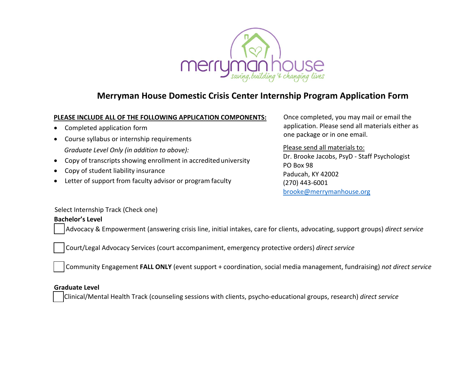

# **Merryman House Domestic Crisis Center Internship Program Application Form**

#### **PLEASE INCLUDE ALL OF THE FOLLOWING APPLICATION COMPONENTS:**

- Completed application form
- Course syllabus or internship requirements *Graduate Level Only (in addition to above):*
- Copy of tra[nscripts showing enrollment in ac](mailto:brooke@merrymanhouse.org)credited university
- Copy of student liability insurance
- Letter of support from faculty advisor or program faculty

Once completed, you may mail or email the application. Please send all materials either as one package or in one email.

Please send all materials to: Dr. Brooke Jacobs, PsyD - Staff Psychologist PO Box 98 Paducah, KY 42002 (270) 443-6001 [brooke@merrymanhouse.org](mailto:brooke@merrymanhouse.org)

Select Internship Track (Check one)

## **Bachelor's Level**

Advocacy & Empowerment (answering crisis line, initial intakes, care for clients, advocating, support groups) *direct service* 

Court/Legal Advocacy Services (court accompaniment, emergency protective orders) *direct service* 

Community Engagement **FALL ONLY** (event support + coordination, social media management, fundraising) *not direct service*

## **Graduate Level**

Clinical/Mental Health Track (counseling sessions with clients, psycho-educational groups, research) *direct service*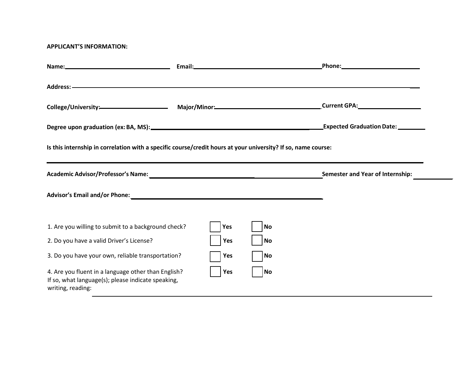#### **APPLICANT'S INFORMATION:**

|                                                                                                                                | Email: Email: Email: Email: Email: Email: Email: Email: Email: Email: Email: Email: Email: Email: Email: Email: Email: Email: Email: Email: Email: Email: Email: Email: Email: Email: Email: Email: Email: Email: Email: Email |           | _Phone:____________________________     |  |
|--------------------------------------------------------------------------------------------------------------------------------|--------------------------------------------------------------------------------------------------------------------------------------------------------------------------------------------------------------------------------|-----------|-----------------------------------------|--|
|                                                                                                                                |                                                                                                                                                                                                                                |           |                                         |  |
| College/University: Major/Minor: Major/Minor: College/University: Major/Minor: Current GPA:                                    |                                                                                                                                                                                                                                |           |                                         |  |
|                                                                                                                                |                                                                                                                                                                                                                                |           | <b>Expected Graduation Date:</b>        |  |
| Is this internship in correlation with a specific course/credit hours at your university? If so, name course:                  |                                                                                                                                                                                                                                |           |                                         |  |
|                                                                                                                                |                                                                                                                                                                                                                                |           | <b>Semester and Year of Internship:</b> |  |
|                                                                                                                                |                                                                                                                                                                                                                                |           |                                         |  |
| 1. Are you willing to submit to a background check?                                                                            | Yes                                                                                                                                                                                                                            | No        |                                         |  |
| 2. Do you have a valid Driver's License?                                                                                       | Yes                                                                                                                                                                                                                            | <b>No</b> |                                         |  |
| 3. Do you have your own, reliable transportation?                                                                              | Yes                                                                                                                                                                                                                            | <b>No</b> |                                         |  |
| 4. Are you fluent in a language other than English?<br>If so, what language(s); please indicate speaking,<br>writing, reading: | Yes                                                                                                                                                                                                                            | No        |                                         |  |